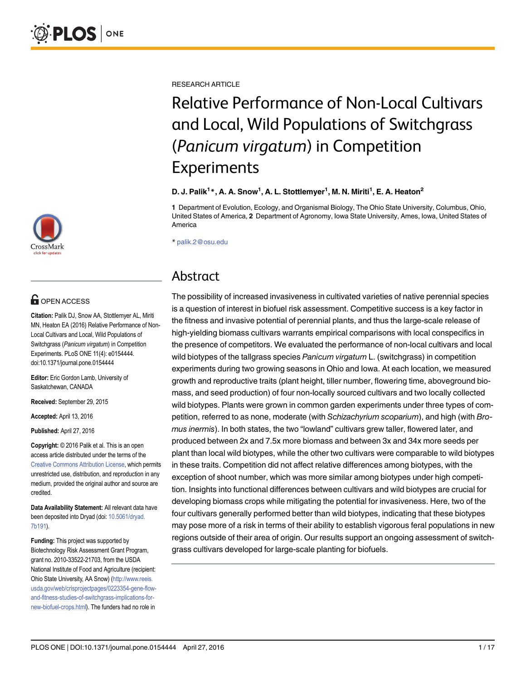[a11111](http://crossmark.crossref.org/dialog/?doi=10.1371/journal.pone.0154444&domain=pdf)

# **OPEN ACCESS**

Citation: Palik DJ, Snow AA, Stottlemyer AL, Miriti MN, Heaton EA (2016) Relative Performance of Non-Local Cultivars and Local, Wild Populations of Switchgrass (Panicum virgatum) in Competition Experiments. PLoS ONE 11(4): e0154444. doi:10.1371/journal.pone.0154444

Editor: Eric Gordon Lamb, University of Saskatchewan, CANADA

Received: September 29, 2015

Accepted: April 13, 2016

Published: April 27, 2016

Copyright: © 2016 Palik et al. This is an open access article distributed under the terms of the [Creative Commons Attribution License,](http://creativecommons.org/licenses/by/4.0/) which permits unrestricted use, distribution, and reproduction in any medium, provided the original author and source are credited.

Data Availability Statement: All relevant data have been deposited into Dryad (doi: [10.5061/dryad.](http://dx.doi.org/10.5061/dryad.7b191) [7b191\)](http://dx.doi.org/10.5061/dryad.7b191).

Funding: This project was supported by Biotechnology Risk Assessment Grant Program, grant no. 2010-33522-21703, from the USDA National Institute of Food and Agriculture (recipient: Ohio State University, AA Snow) [\(http://www.reeis.](http://www.reeis.usda.gov/web/crisprojectpages/0223354-gene-flow-and-fitness-studies-of-switchgrass-implications-for-new-biofuel-crops.html) [usda.gov/web/crisprojectpages/0223354-gene-flow](http://www.reeis.usda.gov/web/crisprojectpages/0223354-gene-flow-and-fitness-studies-of-switchgrass-implications-for-new-biofuel-crops.html)[and-fitness-studies-of-switchgrass-implications-for](http://www.reeis.usda.gov/web/crisprojectpages/0223354-gene-flow-and-fitness-studies-of-switchgrass-implications-for-new-biofuel-crops.html)[new-biofuel-crops.html](http://www.reeis.usda.gov/web/crisprojectpages/0223354-gene-flow-and-fitness-studies-of-switchgrass-implications-for-new-biofuel-crops.html)). The funders had no role in

RESEARCH ARTICLE

# Relative Performance of Non-Local Cultivars and Local, Wild Populations of Switchgrass (Panicum virgatum) in Competition Experiments

#### D. J. Palik $^{1\ast}$ , A. A. Snow $^{1}$ , A. L. Stottlemyer $^{1}$ , M. N. Miriti $^{1}$ , E. A. Heaton $^{2}$

1 Department of Evolution, Ecology, and Organismal Biology, The Ohio State University, Columbus, Ohio, United States of America, 2 Department of Agronomy, Iowa State University, Ames, Iowa, United States of America

\* palik.2@osu.edu

# Abstract

The possibility of increased invasiveness in cultivated varieties of native perennial species is a question of interest in biofuel risk assessment. Competitive success is a key factor in the fitness and invasive potential of perennial plants, and thus the large-scale release of high-yielding biomass cultivars warrants empirical comparisons with local conspecifics in the presence of competitors. We evaluated the performance of non-local cultivars and local wild biotypes of the tallgrass species Panicum virgatum L. (switchgrass) in competition experiments during two growing seasons in Ohio and Iowa. At each location, we measured growth and reproductive traits (plant height, tiller number, flowering time, aboveground biomass, and seed production) of four non-locally sourced cultivars and two locally collected wild biotypes. Plants were grown in common garden experiments under three types of competition, referred to as none, moderate (with Schizachyrium scoparium), and high (with Bromus inermis). In both states, the two "lowland" cultivars grew taller, flowered later, and produced between 2x and 7.5x more biomass and between 3x and 34x more seeds per plant than local wild biotypes, while the other two cultivars were comparable to wild biotypes in these traits. Competition did not affect relative differences among biotypes, with the exception of shoot number, which was more similar among biotypes under high competition. Insights into functional differences between cultivars and wild biotypes are crucial for developing biomass crops while mitigating the potential for invasiveness. Here, two of the four cultivars generally performed better than wild biotypes, indicating that these biotypes may pose more of a risk in terms of their ability to establish vigorous feral populations in new regions outside of their area of origin. Our results support an ongoing assessment of switchgrass cultivars developed for large-scale planting for biofuels.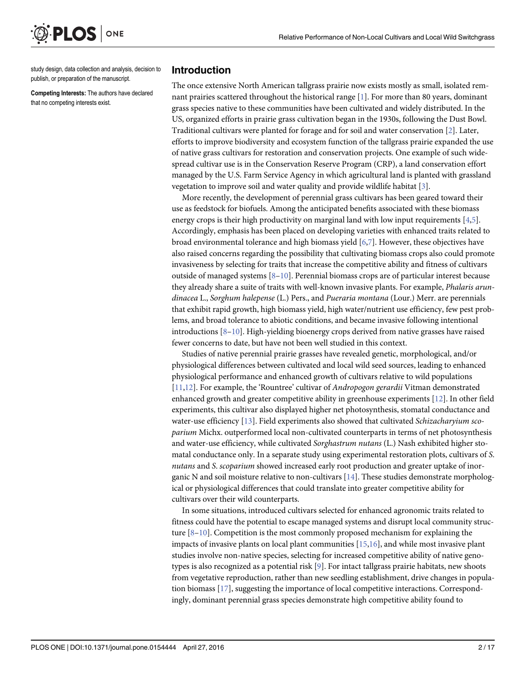<span id="page-1-0"></span>

study design, data collection and analysis, decision to publish, or preparation of the manuscript.

Competing Interests: The authors have declared that no competing interests exist.

#### Introduction

The once extensive North American tallgrass prairie now exists mostly as small, isolated remnant prairies scattered throughout the historical range  $[1]$  $[1]$ . For more than 80 years, dominant grass species native to these communities have been cultivated and widely distributed. In the US, organized efforts in prairie grass cultivation began in the 1930s, following the Dust Bowl. Traditional cultivars were planted for forage and for soil and water conservation [\[2\]](#page-14-0). Later, efforts to improve biodiversity and ecosystem function of the tallgrass prairie expanded the use of native grass cultivars for restoration and conservation projects. One example of such widespread cultivar use is in the Conservation Reserve Program (CRP), a land conservation effort managed by the U.S. Farm Service Agency in which agricultural land is planted with grassland vegetation to improve soil and water quality and provide wildlife habitat [[3](#page-14-0)].

More recently, the development of perennial grass cultivars has been geared toward their use as feedstock for biofuels. Among the anticipated benefits associated with these biomass energy crops is their high productivity on marginal land with low input requirements  $[4,5]$ . Accordingly, emphasis has been placed on developing varieties with enhanced traits related to broad environmental tolerance and high biomass yield [\[6,7](#page-14-0)]. However, these objectives have also raised concerns regarding the possibility that cultivating biomass crops also could promote invasiveness by selecting for traits that increase the competitive ability and fitness of cultivars outside of managed systems  $[8-10]$  $[8-10]$  $[8-10]$ . Perennial biomass crops are of particular interest because they already share a suite of traits with well-known invasive plants. For example, Phalaris arundinacea L., Sorghum halepense (L.) Pers., and Pueraria montana (Lour.) Merr. are perennials that exhibit rapid growth, high biomass yield, high water/nutrient use efficiency, few pest problems, and broad tolerance to abiotic conditions, and became invasive following intentional introductions  $[8-10]$  $[8-10]$  $[8-10]$  $[8-10]$  $[8-10]$ . High-yielding bioenergy crops derived from native grasses have raised fewer concerns to date, but have not been well studied in this context.

Studies of native perennial prairie grasses have revealed genetic, morphological, and/or physiological differences between cultivated and local wild seed sources, leading to enhanced physiological performance and enhanced growth of cultivars relative to wild populations [\[11,12\]](#page-14-0). For example, the 'Rountree' cultivar of Andropogon gerardii Vitman demonstrated enhanced growth and greater competitive ability in greenhouse experiments [\[12\]](#page-14-0). In other field experiments, this cultivar also displayed higher net photosynthesis, stomatal conductance and water-use efficiency [\[13\]](#page-14-0). Field experiments also showed that cultivated Schizacharyium scoparium Michx. outperformed local non-cultivated counterparts in terms of net photosynthesis and water-use efficiency, while cultivated Sorghastrum nutans (L.) Nash exhibited higher stomatal conductance only. In a separate study using experimental restoration plots, cultivars of S. nutans and S. scoparium showed increased early root production and greater uptake of inorganic N and soil moisture relative to non-cultivars  $[14]$  $[14]$ . These studies demonstrate morphological or physiological differences that could translate into greater competitive ability for cultivars over their wild counterparts.

In some situations, introduced cultivars selected for enhanced agronomic traits related to fitness could have the potential to escape managed systems and disrupt local community structure  $[8-10]$  $[8-10]$  $[8-10]$  $[8-10]$  $[8-10]$ . Competition is the most commonly proposed mechanism for explaining the impacts of invasive plants on local plant communities  $[15,16]$  $[15,16]$  $[15,16]$ , and while most invasive plant studies involve non-native species, selecting for increased competitive ability of native geno-types is also recognized as a potential risk [\[9](#page-14-0)]. For intact tallgrass prairie habitats, new shoots from vegetative reproduction, rather than new seedling establishment, drive changes in population biomass [\[17\]](#page-15-0), suggesting the importance of local competitive interactions. Correspondingly, dominant perennial grass species demonstrate high competitive ability found to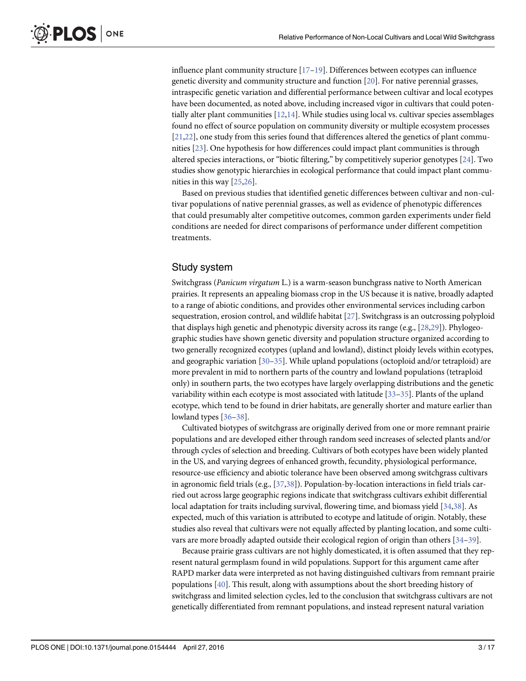influence plant community structure [\[17](#page-15-0)–[19\]](#page-15-0). Differences between ecotypes can influence genetic diversity and community structure and function [[20\]](#page-15-0). For native perennial grasses, intraspecific genetic variation and differential performance between cultivar and local ecotypes have been documented, as noted above, including increased vigor in cultivars that could potentially alter plant communities [\[12,14\]](#page-14-0). While studies using local vs. cultivar species assemblages found no effect of source population on community diversity or multiple ecosystem processes [\[21,22\]](#page-15-0), one study from this series found that differences altered the genetics of plant communities [\[23\]](#page-15-0). One hypothesis for how differences could impact plant communities is through altered species interactions, or "biotic filtering," by competitively superior genotypes [[24](#page-15-0)]. Two studies show genotypic hierarchies in ecological performance that could impact plant communities in this way [\[25,26](#page-15-0)].

Based on previous studies that identified genetic differences between cultivar and non-cultivar populations of native perennial grasses, as well as evidence of phenotypic differences that could presumably alter competitive outcomes, common garden experiments under field conditions are needed for direct comparisons of performance under different competition treatments.

#### Study system

<span id="page-2-0"></span>**PLOS** I

ONE

Switchgrass (Panicum virgatum L.) is a warm-season bunchgrass native to North American prairies. It represents an appealing biomass crop in the US because it is native, broadly adapted to a range of abiotic conditions, and provides other environmental services including carbon sequestration, erosion control, and wildlife habitat [[27](#page-15-0)]. Switchgrass is an outcrossing polyploid that displays high genetic and phenotypic diversity across its range (e.g., [[28](#page-15-0),[29](#page-15-0)]). Phylogeographic studies have shown genetic diversity and population structure organized according to two generally recognized ecotypes (upland and lowland), distinct ploidy levels within ecotypes, and geographic variation [\[30](#page-15-0)–[35\]](#page-15-0). While upland populations (octoploid and/or tetraploid) are more prevalent in mid to northern parts of the country and lowland populations (tetraploid only) in southern parts, the two ecotypes have largely overlapping distributions and the genetic variability within each ecotype is most associated with latitude [[33](#page-15-0)–[35\]](#page-15-0). Plants of the upland ecotype, which tend to be found in drier habitats, are generally shorter and mature earlier than lowland types [\[36](#page-15-0)–[38\]](#page-16-0).

Cultivated biotypes of switchgrass are originally derived from one or more remnant prairie populations and are developed either through random seed increases of selected plants and/or through cycles of selection and breeding. Cultivars of both ecotypes have been widely planted in the US, and varying degrees of enhanced growth, fecundity, physiological performance, resource-use efficiency and abiotic tolerance have been observed among switchgrass cultivars in agronomic field trials (e.g., [\[37](#page-15-0)[,38\]](#page-16-0)). Population-by-location interactions in field trials carried out across large geographic regions indicate that switchgrass cultivars exhibit differential local adaptation for traits including survival, flowering time, and biomass yield [\[34,](#page-15-0)[38\]](#page-16-0). As expected, much of this variation is attributed to ecotype and latitude of origin. Notably, these studies also reveal that cultivars were not equally affected by planting location, and some cultivars are more broadly adapted outside their ecological region of origin than others  $[34-39]$  $[34-39]$  $[34-39]$ .

Because prairie grass cultivars are not highly domesticated, it is often assumed that they represent natural germplasm found in wild populations. Support for this argument came after RAPD marker data were interpreted as not having distinguished cultivars from remnant prairie populations [[40](#page-16-0)]. This result, along with assumptions about the short breeding history of switchgrass and limited selection cycles, led to the conclusion that switchgrass cultivars are not genetically differentiated from remnant populations, and instead represent natural variation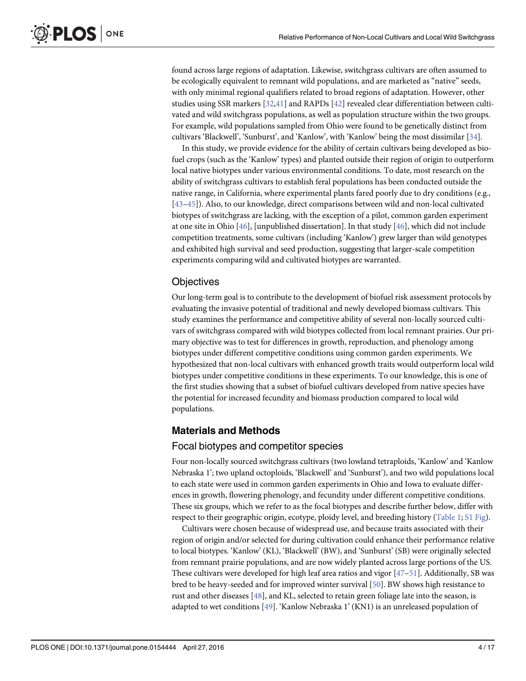<span id="page-3-0"></span>found across large regions of adaptation. Likewise, switchgrass cultivars are often assumed to be ecologically equivalent to remnant wild populations, and are marketed as "native" seeds, with only minimal regional qualifiers related to broad regions of adaptation. However, other studies using SSR markers [\[32,](#page-15-0)[41\]](#page-16-0) and RAPDs [[42](#page-16-0)] revealed clear differentiation between cultivated and wild switchgrass populations, as well as population structure within the two groups. For example, wild populations sampled from Ohio were found to be genetically distinct from cultivars 'Blackwell', 'Sunburst', and 'Kanlow', with 'Kanlow' being the most dissimilar [\[34](#page-15-0)].

In this study, we provide evidence for the ability of certain cultivars being developed as biofuel crops (such as the 'Kanlow' types) and planted outside their region of origin to outperform local native biotypes under various environmental conditions. To date, most research on the ability of switchgrass cultivars to establish feral populations has been conducted outside the native range, in California, where experimental plants fared poorly due to dry conditions (e.g., [\[43](#page-16-0)–[45\]](#page-16-0)). Also, to our knowledge, direct comparisons between wild and non-local cultivated biotypes of switchgrass are lacking, with the exception of a pilot, common garden experiment at one site in Ohio  $[46]$ , [unpublished dissertation]. In that study  $[46]$ , which did not include competition treatments, some cultivars (including 'Kanlow') grew larger than wild genotypes and exhibited high survival and seed production, suggesting that larger-scale competition experiments comparing wild and cultivated biotypes are warranted.

#### **Objectives**

Our long-term goal is to contribute to the development of biofuel risk assessment protocols by evaluating the invasive potential of traditional and newly developed biomass cultivars. This study examines the performance and competitive ability of several non-locally sourced cultivars of switchgrass compared with wild biotypes collected from local remnant prairies. Our primary objective was to test for differences in growth, reproduction, and phenology among biotypes under different competitive conditions using common garden experiments. We hypothesized that non-local cultivars with enhanced growth traits would outperform local wild biotypes under competitive conditions in these experiments. To our knowledge, this is one of the first studies showing that a subset of biofuel cultivars developed from native species have the potential for increased fecundity and biomass production compared to local wild populations.

# Materials and Methods

#### Focal biotypes and competitor species

Four non-locally sourced switchgrass cultivars (two lowland tetraploids, 'Kanlow' and 'Kanlow Nebraska 1'; two upland octoploids, 'Blackwell' and 'Sunburst'), and two wild populations local to each state were used in common garden experiments in Ohio and Iowa to evaluate differences in growth, flowering phenology, and fecundity under different competitive conditions. These six groups, which we refer to as the focal biotypes and describe further below, differ with respect to their geographic origin, ecotype, ploidy level, and breeding history ([Table 1;](#page-4-0) [S1 Fig](#page-14-0)).

Cultivars were chosen because of widespread use, and because traits associated with their region of origin and/or selected for during cultivation could enhance their performance relative to local biotypes. 'Kanlow' (KL), 'Blackwell' (BW), and 'Sunburst' (SB) were originally selected from remnant prairie populations, and are now widely planted across large portions of the US. These cultivars were developed for high leaf area ratios and vigor [[47](#page-16-0)–[51\]](#page-16-0). Additionally, SB was bred to be heavy-seeded and for improved winter survival [[50](#page-16-0)]. BW shows high resistance to rust and other diseases [\[48](#page-16-0)], and KL, selected to retain green foliage late into the season, is adapted to wet conditions [[49\]](#page-16-0). 'Kanlow Nebraska 1' (KN1) is an unreleased population of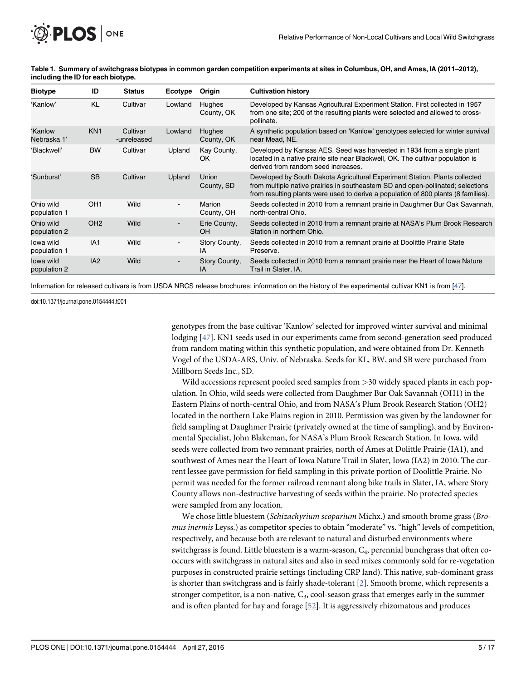<span id="page-4-0"></span>

| Table 1. Summary of switchgrass biotypes in common garden competition experiments at sites in Columbus, OH, and Ames, IA (2011–2012), |  |
|---------------------------------------------------------------------------------------------------------------------------------------|--|
| including the ID for each biotype.                                                                                                    |  |

| <b>Biotype</b>            | ID              | <b>Status</b>           | Ecotype | Origin                      | <b>Cultivation history</b>                                                                                                                                                                                                                            |
|---------------------------|-----------------|-------------------------|---------|-----------------------------|-------------------------------------------------------------------------------------------------------------------------------------------------------------------------------------------------------------------------------------------------------|
| 'Kanlow'                  | KL              | Cultivar                | Lowland | <b>Hughes</b><br>County, OK | Developed by Kansas Agricultural Experiment Station. First collected in 1957<br>from one site; 200 of the resulting plants were selected and allowed to cross-<br>pollinate.                                                                          |
| 'Kanlow<br>Nebraska 1'    | KN <sub>1</sub> | Cultivar<br>-unreleased | Lowland | <b>Hughes</b><br>County, OK | A synthetic population based on 'Kanlow' genotypes selected for winter survival<br>near Mead, NE.                                                                                                                                                     |
| 'Blackwell'               | <b>BW</b>       | Cultivar                | Upland  | Kay County,<br>OK.          | Developed by Kansas AES. Seed was harvested in 1934 from a single plant<br>located in a native prairie site near Blackwell, OK. The cultivar population is<br>derived from random seed increases.                                                     |
| 'Sunburst'                | <b>SB</b>       | Cultivar                | Upland  | Union<br>County, SD         | Developed by South Dakota Agricultural Experiment Station. Plants collected<br>from multiple native prairies in southeastern SD and open-pollinated; selections<br>from resulting plants were used to derive a population of 800 plants (8 families). |
| Ohio wild<br>population 1 | OH <sub>1</sub> | Wild                    |         | Marion<br>County, OH        | Seeds collected in 2010 from a remnant prairie in Daughmer Bur Oak Savannah,<br>north-central Ohio.                                                                                                                                                   |
| Ohio wild<br>population 2 | OH <sub>2</sub> | Wild                    |         | Erie County,<br><b>OH</b>   | Seeds collected in 2010 from a remnant prairie at NASA's Plum Brook Research<br>Station in northern Ohio.                                                                                                                                             |
| lowa wild<br>population 1 | IA1             | Wild                    |         | Story County,<br>IA         | Seeds collected in 2010 from a remnant prairie at Doolittle Prairie State<br>Preserve.                                                                                                                                                                |
| lowa wild<br>population 2 | IA2             | Wild                    |         | Story County,<br>IA         | Seeds collected in 2010 from a remnant prairie near the Heart of Iowa Nature<br>Trail in Slater, IA.                                                                                                                                                  |

Information for released cultivars is from USDA NRCS release brochures; information on the history of the experimental cultivar KN1 is from [[47\]](#page-16-0).

doi:10.1371/journal.pone.0154444.t001

genotypes from the base cultivar 'Kanlow' selected for improved winter survival and minimal lodging [[47](#page-16-0)]. KN1 seeds used in our experiments came from second-generation seed produced from random mating within this synthetic population, and were obtained from Dr. Kenneth Vogel of the USDA-ARS, Univ. of Nebraska. Seeds for KL, BW, and SB were purchased from Millborn Seeds Inc., SD.

Wild accessions represent pooled seed samples from >30 widely spaced plants in each population. In Ohio, wild seeds were collected from Daughmer Bur Oak Savannah (OH1) in the Eastern Plains of north-central Ohio, and from NASA's Plum Brook Research Station (OH2) located in the northern Lake Plains region in 2010. Permission was given by the landowner for field sampling at Daughmer Prairie (privately owned at the time of sampling), and by Environmental Specialist, John Blakeman, for NASA's Plum Brook Research Station. In Iowa, wild seeds were collected from two remnant prairies, north of Ames at Dolittle Prairie (IA1), and southwest of Ames near the Heart of Iowa Nature Trail in Slater, Iowa (IA2) in 2010. The current lessee gave permission for field sampling in this private portion of Doolittle Prairie. No permit was needed for the former railroad remnant along bike trails in Slater, IA, where Story County allows non-destructive harvesting of seeds within the prairie. No protected species were sampled from any location.

We chose little bluestem (Schizachyrium scoparium Michx.) and smooth brome grass (Bromus inermis Leyss.) as competitor species to obtain "moderate" vs. "high" levels of competition, respectively, and because both are relevant to natural and disturbed environments where switchgrass is found. Little bluestem is a warm-season, C4, perennial bunchgrass that often cooccurs with switchgrass in natural sites and also in seed mixes commonly sold for re-vegetation purposes in constructed prairie settings (including CRP land). This native, sub-dominant grass is shorter than switchgrass and is fairly shade-tolerant [[2\]](#page-14-0). Smooth brome, which represents a stronger competitor, is a non-native,  $C_3$ , cool-season grass that emerges early in the summer and is often planted for hay and forage [\[52\]](#page-16-0). It is aggressively rhizomatous and produces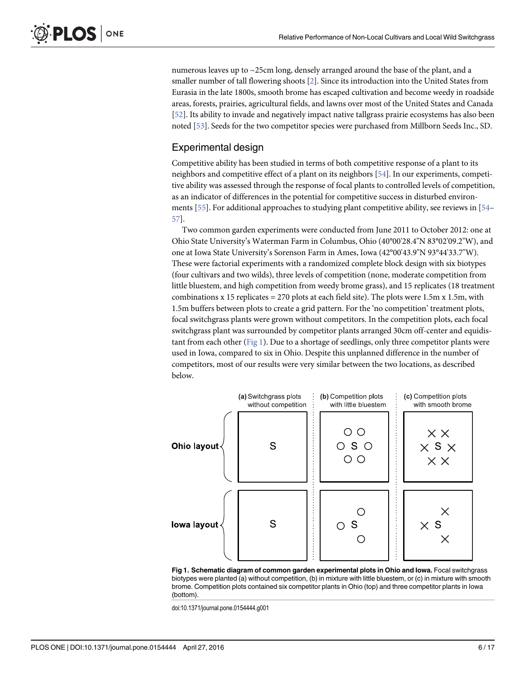<span id="page-5-0"></span>numerous leaves up to ~25cm long, densely arranged around the base of the plant, and a smaller number of tall flowering shoots [[2\]](#page-14-0). Since its introduction into the United States from Eurasia in the late 1800s, smooth brome has escaped cultivation and become weedy in roadside areas, forests, prairies, agricultural fields, and lawns over most of the United States and Canada [\[52](#page-16-0)]. Its ability to invade and negatively impact native tallgrass prairie ecosystems has also been noted [\[53](#page-16-0)]. Seeds for the two competitor species were purchased from Millborn Seeds Inc., SD.

#### Experimental design

Competitive ability has been studied in terms of both competitive response of a plant to its neighbors and competitive effect of a plant on its neighbors [[54\]](#page-16-0). In our experiments, competitive ability was assessed through the response of focal plants to controlled levels of competition, as an indicator of differences in the potential for competitive success in disturbed environ-ments [\[55\]](#page-16-0). For additional approaches to studying plant competitive ability, see reviews in [[54](#page-16-0)– [57\]](#page-16-0).

Two common garden experiments were conducted from June 2011 to October 2012: one at Ohio State University's Waterman Farm in Columbus, Ohio (40°00'28.4"N 83°02'09.2"W), and one at Iowa State University's Sorenson Farm in Ames, Iowa (42°00'43.9"N 93°44'33.7"W). These were factorial experiments with a randomized complete block design with six biotypes (four cultivars and two wilds), three levels of competition (none, moderate competition from little bluestem, and high competition from weedy brome grass), and 15 replicates (18 treatment combinations x 15 replicates = 270 plots at each field site). The plots were  $1.5m$  x  $1.5m$ , with 1.5m buffers between plots to create a grid pattern. For the 'no competition' treatment plots, focal switchgrass plants were grown without competitors. In the competition plots, each focal switchgrass plant was surrounded by competitor plants arranged 30cm off-center and equidistant from each other ( $Fig 1$ ). Due to a shortage of seedlings, only three competitor plants were used in Iowa, compared to six in Ohio. Despite this unplanned difference in the number of competitors, most of our results were very similar between the two locations, as described below.



Fig 1. Schematic diagram of common garden experimental plots in Ohio and Iowa. Focal switchgrass biotypes were planted (a) without competition, (b) in mixture with little bluestem, or (c) in mixture with smooth brome. Competition plots contained six competitor plants in Ohio (top) and three competitor plants in Iowa (bottom).

doi:10.1371/journal.pone.0154444.g001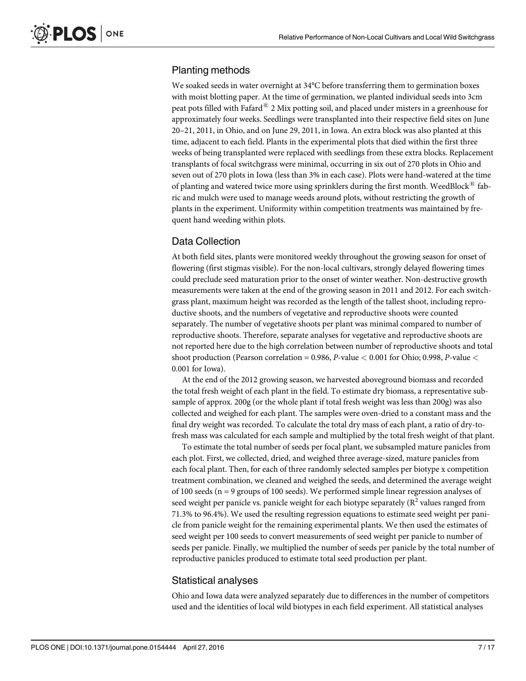# Planting methods

We soaked seeds in water overnight at 34°C before transferring them to germination boxes with moist blotting paper. At the time of germination, we planted individual seeds into 3cm peat pots filled with Fafard $^{\circledR}$  2 Mix potting soil, and placed under misters in a greenhouse for approximately four weeks. Seedlings were transplanted into their respective field sites on June 20–21, 2011, in Ohio, and on June 29, 2011, in Iowa. An extra block was also planted at this time, adjacent to each field. Plants in the experimental plots that died within the first three weeks of being transplanted were replaced with seedlings from these extra blocks. Replacement transplants of focal switchgrass were minimal, occurring in six out of 270 plots in Ohio and seven out of 270 plots in Iowa (less than 3% in each case). Plots were hand-watered at the time of planting and watered twice more using sprinklers during the first month. WeedBlock<sup> $\mathcal{B}$ </sup> fabric and mulch were used to manage weeds around plots, without restricting the growth of plants in the experiment. Uniformity within competition treatments was maintained by frequent hand weeding within plots.

# Data Collection

At both field sites, plants were monitored weekly throughout the growing season for onset of flowering (first stigmas visible). For the non-local cultivars, strongly delayed flowering times could preclude seed maturation prior to the onset of winter weather. Non-destructive growth measurements were taken at the end of the growing season in 2011 and 2012. For each switchgrass plant, maximum height was recorded as the length of the tallest shoot, including reproductive shoots, and the numbers of vegetative and reproductive shoots were counted separately. The number of vegetative shoots per plant was minimal compared to number of reproductive shoots. Therefore, separate analyses for vegetative and reproductive shoots are not reported here due to the high correlation between number of reproductive shoots and total shoot production (Pearson correlation = 0.986, P-value < 0.001 for Ohio; 0.998, P-value < 0.001 for Iowa).

At the end of the 2012 growing season, we harvested aboveground biomass and recorded the total fresh weight of each plant in the field. To estimate dry biomass, a representative subsample of approx. 200g (or the whole plant if total fresh weight was less than 200g) was also collected and weighed for each plant. The samples were oven-dried to a constant mass and the final dry weight was recorded. To calculate the total dry mass of each plant, a ratio of dry-tofresh mass was calculated for each sample and multiplied by the total fresh weight of that plant.

To estimate the total number of seeds per focal plant, we subsampled mature panicles from each plot. First, we collected, dried, and weighed three average-sized, mature panicles from each focal plant. Then, for each of three randomly selected samples per biotype x competition treatment combination, we cleaned and weighed the seeds, and determined the average weight of 100 seeds (n = 9 groups of 100 seeds). We performed simple linear regression analyses of seed weight per panicle vs. panicle weight for each biotype separately  $(R^2$  values ranged from 71.3% to 96.4%). We used the resulting regression equations to estimate seed weight per panicle from panicle weight for the remaining experimental plants. We then used the estimates of seed weight per 100 seeds to convert measurements of seed weight per panicle to number of seeds per panicle. Finally, we multiplied the number of seeds per panicle by the total number of reproductive panicles produced to estimate total seed production per plant.

# Statistical analyses

Ohio and Iowa data were analyzed separately due to differences in the number of competitors used and the identities of local wild biotypes in each field experiment. All statistical analyses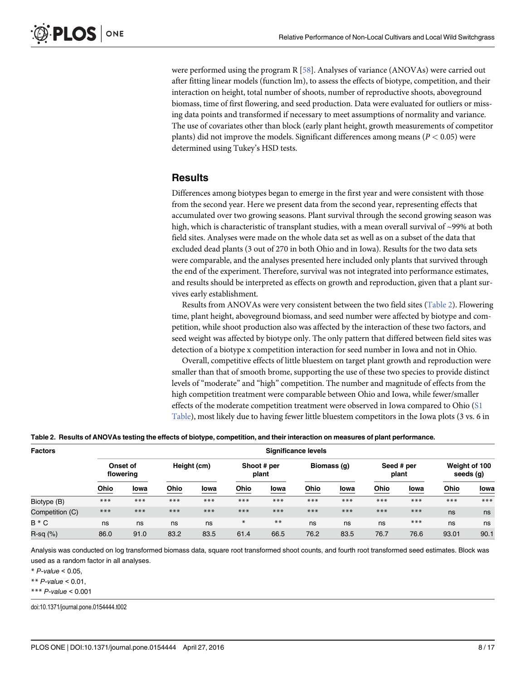<span id="page-7-0"></span>were performed using the program R [\[58\]](#page-16-0). Analyses of variance (ANOVAs) were carried out after fitting linear models (function lm), to assess the effects of biotype, competition, and their interaction on height, total number of shoots, number of reproductive shoots, aboveground biomass, time of first flowering, and seed production. Data were evaluated for outliers or missing data points and transformed if necessary to meet assumptions of normality and variance. The use of covariates other than block (early plant height, growth measurements of competitor plants) did not improve the models. Significant differences among means ( $P < 0.05$ ) were determined using Tukey's HSD tests.

#### **Results**

Differences among biotypes began to emerge in the first year and were consistent with those from the second year. Here we present data from the second year, representing effects that accumulated over two growing seasons. Plant survival through the second growing season was high, which is characteristic of transplant studies, with a mean overall survival of ~99% at both field sites. Analyses were made on the whole data set as well as on a subset of the data that excluded dead plants (3 out of 270 in both Ohio and in Iowa). Results for the two data sets were comparable, and the analyses presented here included only plants that survived through the end of the experiment. Therefore, survival was not integrated into performance estimates, and results should be interpreted as effects on growth and reproduction, given that a plant survives early establishment.

Results from ANOVAs were very consistent between the two field sites (Table 2). Flowering time, plant height, aboveground biomass, and seed number were affected by biotype and competition, while shoot production also was affected by the interaction of these two factors, and seed weight was affected by biotype only. The only pattern that differed between field sites was detection of a biotype x competition interaction for seed number in Iowa and not in Ohio.

Overall, competitive effects of little bluestem on target plant growth and reproduction were smaller than that of smooth brome, supporting the use of these two species to provide distinct levels of "moderate" and "high" competition. The number and magnitude of effects from the high competition treatment were comparable between Ohio and Iowa, while fewer/smaller effects of the moderate competition treatment were observed in Iowa compared to Ohio ([S1](#page-14-0) [Table](#page-14-0)), most likely due to having fewer little bluestem competitors in the Iowa plots (3 vs. 6 in

|  |  |  |  |  | Table 2. Results of ANOVAs testing the effects of biotype, competition, and their interaction on measures of plant performance. |  |  |  |
|--|--|--|--|--|---------------------------------------------------------------------------------------------------------------------------------|--|--|--|
|--|--|--|--|--|---------------------------------------------------------------------------------------------------------------------------------|--|--|--|

| <b>Factors</b>  | <b>Significance levels</b> |       |             |       |                      |       |             |      |                     |       |                            |       |
|-----------------|----------------------------|-------|-------------|-------|----------------------|-------|-------------|------|---------------------|-------|----------------------------|-------|
|                 | Onset of<br>flowering      |       | Height (cm) |       | Shoot # per<br>plant |       | Biomass (q) |      | Seed # per<br>plant |       | Weight of 100<br>seeds (g) |       |
|                 | Ohio                       | lowa  | Ohio        | lowa  | Ohio                 | lowa  | Ohio        | lowa | Ohio                | lowa  | Ohio                       | lowa  |
| Biotype (B)     | $***$                      | $***$ | ***         | $***$ | $***$                | $***$ | $***$       | ***  | $***$               | ***   | $***$                      | $***$ |
| Competition (C) | $***$                      | $***$ | ***         | $***$ | $***$                | $***$ | $***$       | ***  | $***$               | $***$ | ns                         | ns    |
| B * C           | ns                         | ns    | ns          | ns    | $\ast$               | $***$ | ns          | ns   | ns                  | ***   | ns                         | ns    |
| $R-sq$ $(\%)$   | 86.0                       | 91.0  | 83.2        | 83.5  | 61.4                 | 66.5  | 76.2        | 83.5 | 76.7                | 76.6  | 93.01                      | 90.1  |

Analysis was conducted on log transformed biomass data, square root transformed shoot counts, and fourth root transformed seed estimates. Block was used as a random factor in all analyses.

 $*$  P-value < 0.05.

\*\* P-value  $< 0.01$ .

\*\*\* P-value < 0.001

doi:10.1371/journal.pone.0154444.t002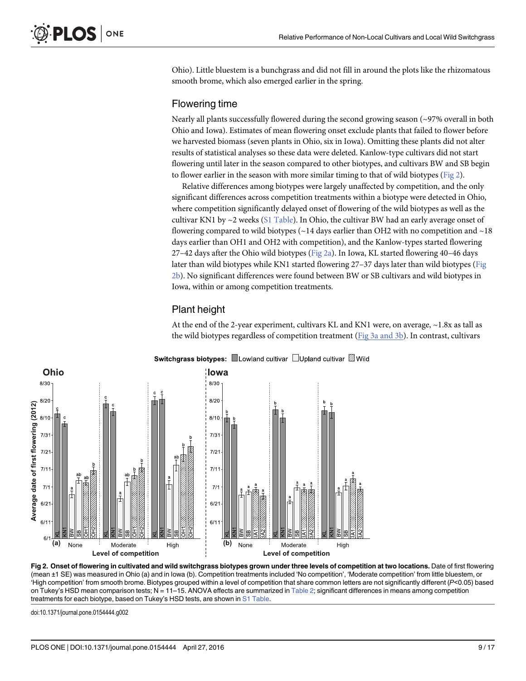<span id="page-8-0"></span>Ohio). Little bluestem is a bunchgrass and did not fill in around the plots like the rhizomatous smooth brome, which also emerged earlier in the spring.

### Flowering time

Nearly all plants successfully flowered during the second growing season  $\sim$ 97% overall in both Ohio and Iowa). Estimates of mean flowering onset exclude plants that failed to flower before we harvested biomass (seven plants in Ohio, six in Iowa). Omitting these plants did not alter results of statistical analyses so these data were deleted. Kanlow-type cultivars did not start flowering until later in the season compared to other biotypes, and cultivars BW and SB begin to flower earlier in the season with more similar timing to that of wild biotypes ( $Fig 2$ ).

Relative differences among biotypes were largely unaffected by competition, and the only significant differences across competition treatments within a biotype were detected in Ohio, where competition significantly delayed onset of flowering of the wild biotypes as well as the cultivar KN1 by  $\sim$ 2 weeks [\(S1 Table](#page-14-0)). In Ohio, the cultivar BW had an early average onset of flowering compared to wild biotypes ( $\sim$  14 days earlier than OH2 with no competition and  $\sim$  18 days earlier than OH1 and OH2 with competition), and the Kanlow-types started flowering 27–42 days after the Ohio wild biotypes ( $Fig 2a$ ). In Iowa, KL started flowering 40–46 days later than wild biotypes while KN1 started flowering 27-37 days later than wild biotypes (Fig 2b). No significant differences were found between BW or SB cultivars and wild biotypes in Iowa, within or among competition treatments.

# Plant height

At the end of the 2-year experiment, cultivars KL and KN1 were, on average, ~1.8x as tall as the wild biotypes regardless of competition treatment ([Fig 3a and 3b\)](#page-9-0). In contrast, cultivars



Switchgrass biotypes: <u>■</u>Lowland cultivar □Upland cultivar ②Wild

Fig 2. Onset of flowering in cultivated and wild switchgrass biotypes grown under three levels of competition at two locations. Date of first flowering (mean ±1 SE) was measured in Ohio (a) and in Iowa (b). Competition treatments included 'No competition', 'Moderate competition' from little bluestem, or 'High competition' from smooth brome. Biotypes grouped within a level of competition that share common letters are not significantly different (P<0.05) based on Tukey's HSD mean comparison tests; N = 11–15. ANOVA effects are summarized in [Table 2](#page-7-0); significant differences in means among competition treatments for each biotype, based on Tukey's HSD tests, are shown in [S1 Table](#page-14-0).

doi:10.1371/journal.pone.0154444.g002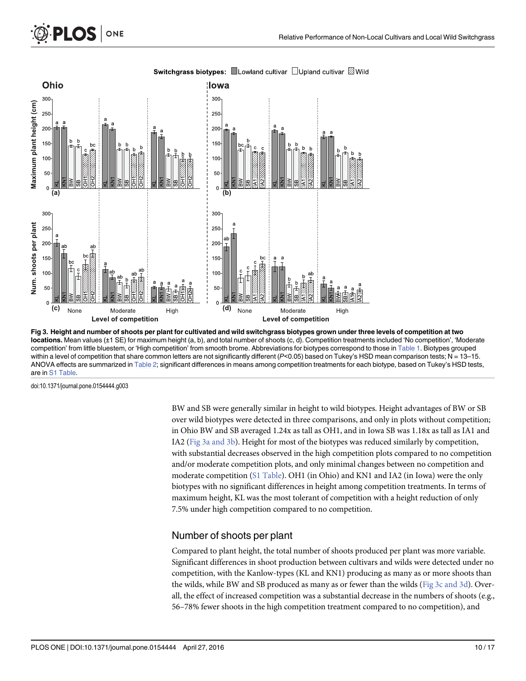<span id="page-9-0"></span>

Switchgrass biotypes: ■Lowland cultivar □Upland cultivar Ø Wild

[Fig 3. H](#page-8-0)eight and number of shoots per plant for cultivated and wild switchgrass biotypes grown under three levels of competition at two locations. Mean values (±1 SE) for maximum height (a, b), and total number of shoots (c, d). Competition treatments included 'No competition', 'Moderate competition' from little bluestem, or 'High competition' from smooth brome. Abbreviations for biotypes correspond to those in [Table 1](#page-4-0). Biotypes grouped within a level of competition that share common letters are not significantly different ( $P<0.05$ ) based on Tukey's HSD mean comparison tests; N = 13-15. ANOVA effects are summarized in [Table 2](#page-7-0); significant differences in means among competition treatments for each biotype, based on Tukey's HSD tests, are in [S1 Table](#page-14-0).

doi:10.1371/journal.pone.0154444.g003

BW and SB were generally similar in height to wild biotypes. Height advantages of BW or SB over wild biotypes were detected in three comparisons, and only in plots without competition; in Ohio BW and SB averaged 1.24x as tall as OH1, and in Iowa SB was 1.18x as tall as IA1 and IA2 (Fig 3a and 3b). Height for most of the biotypes was reduced similarly by competition, with substantial decreases observed in the high competition plots compared to no competition and/or moderate competition plots, and only minimal changes between no competition and moderate competition ([S1 Table\)](#page-14-0). OH1 (in Ohio) and KN1 and IA2 (in Iowa) were the only biotypes with no significant differences in height among competition treatments. In terms of maximum height, KL was the most tolerant of competition with a height reduction of only 7.5% under high competition compared to no competition.

#### Number of shoots per plant

Compared to plant height, the total number of shoots produced per plant was more variable. Significant differences in shoot production between cultivars and wilds were detected under no competition, with the Kanlow-types (KL and KN1) producing as many as or more shoots than the wilds, while BW and SB produced as many as or fewer than the wilds ( $Fig 3c$  and 3d). Overall, the effect of increased competition was a substantial decrease in the numbers of shoots (e.g., 56–78% fewer shoots in the high competition treatment compared to no competition), and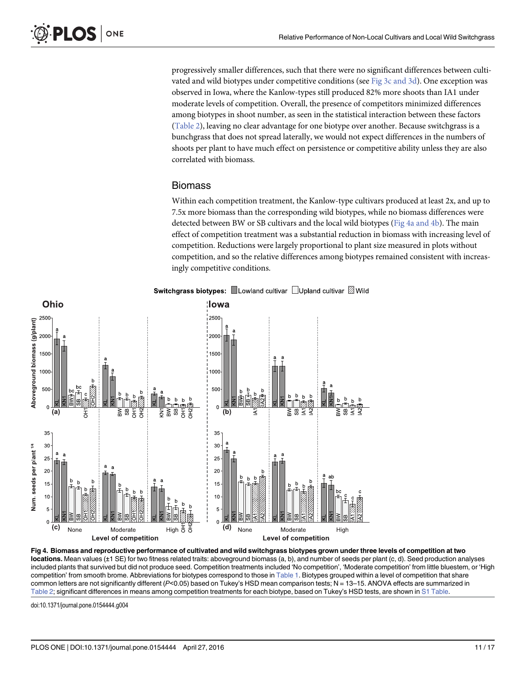<span id="page-10-0"></span>progressively smaller differences, such that there were no significant differences between cultivated and wild biotypes under competitive conditions (see [Fig 3c and 3d](#page-9-0)). One exception was observed in Iowa, where the Kanlow-types still produced 82% more shoots than IA1 under moderate levels of competition. Overall, the presence of competitors minimized differences among biotypes in shoot number, as seen in the statistical interaction between these factors [\(Table 2\)](#page-7-0), leaving no clear advantage for one biotype over another. Because switchgrass is a bunchgrass that does not spread laterally, we would not expect differences in the numbers of shoots per plant to have much effect on persistence or competitive ability unless they are also correlated with biomass.

#### Biomass

Within each competition treatment, the Kanlow-type cultivars produced at least 2x, and up to 7.5x more biomass than the corresponding wild biotypes, while no biomass differences were detected between BW or SB cultivars and the local wild biotypes (Fig 4a and 4b). The main effect of competition treatment was a substantial reduction in biomass with increasing level of competition. Reductions were largely proportional to plant size measured in plots without competition, and so the relative differences among biotypes remained consistent with increasingly competitive conditions.



#### Switchgrass biotypes: Lowland cultivar □Upland cultivar ②Wild

Fig 4. Biomass and reproductive performance of cultivated and wild switchgrass biotypes grown under three levels of competition at two locations. Mean values (±1 SE) for two fitness related traits: aboveground biomass (a, b), and number of seeds per plant (c, d). Seed production analyses included plants that survived but did not produce seed. Competition treatments included 'No competition', 'Moderate competition' from little bluestem, or 'High competition' from smooth brome. Abbreviations for biotypes correspond to those in [Table 1.](#page-4-0) Biotypes grouped within a level of competition that share common letters are not significantly different ( $P<0.05$ ) based on Tukey's HSD mean comparison tests; N = 13-15. ANOVA effects are summarized in [Table 2;](#page-7-0) significant differences in means among competition treatments for each biotype, based on Tukey's HSD tests, are shown in [S1 Table](#page-14-0).

doi:10.1371/journal.pone.0154444.g004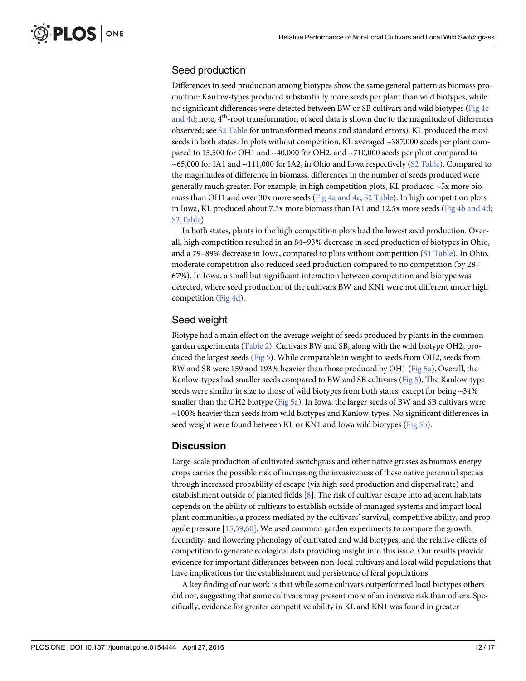# <span id="page-11-0"></span>Seed production

Differences in seed production among biotypes show the same general pattern as biomass production: Kanlow-types produced substantially more seeds per plant than wild biotypes, while no significant differences were detected between BW or SB cultivars and wild biotypes [\(Fig 4c](#page-10-0) [and 4d](#page-10-0); note,  $4<sup>th</sup>$ -root transformation of seed data is shown due to the magnitude of differences observed; see [S2 Table](#page-14-0) for untransformed means and standard errors). KL produced the most seeds in both states. In plots without competition, KL averaged ~387,000 seeds per plant compared to 15,500 for OH1 and ~40,000 for OH2, and ~710,000 seeds per plant compared to ~65,000 for IA1 and ~111,000 for IA2, in Ohio and Iowa respectively  $(S2$  Table). Compared to the magnitudes of difference in biomass, differences in the number of seeds produced were generally much greater. For example, in high competition plots, KL produced ~5x more biomass than OH1 and over 30x more seeds [\(Fig 4a and 4c](#page-10-0); [S2 Table\)](#page-14-0). In high competition plots in Iowa, KL produced about 7.5x more biomass than IA1 and 12.5x more seeds ([Fig 4b and 4d](#page-10-0); [S2 Table\)](#page-14-0).

In both states, plants in the high competition plots had the lowest seed production. Overall, high competition resulted in an 84–93% decrease in seed production of biotypes in Ohio, and a 79–89% decrease in Iowa, compared to plots without competition ([S1 Table](#page-14-0)). In Ohio, moderate competition also reduced seed production compared to no competition (by 28– 67%). In Iowa, a small but significant interaction between competition and biotype was detected, where seed production of the cultivars BW and KN1 were not different under high competition ([Fig 4d\)](#page-10-0).

# Seed weight

Biotype had a main effect on the average weight of seeds produced by plants in the common garden experiments [\(Table 2](#page-7-0)). Cultivars BW and SB, along with the wild biotype OH2, produced the largest seeds ([Fig 5\)](#page-12-0). While comparable in weight to seeds from OH2, seeds from BW and SB were 159 and 193% heavier than those produced by OH1 ([Fig 5a](#page-12-0)). Overall, the Kanlow-types had smaller seeds compared to BW and SB cultivars ([Fig 5](#page-12-0)). The Kanlow-type seeds were similar in size to those of wild biotypes from both states, except for being ~34% smaller than the OH2 biotype [\(Fig 5a](#page-12-0)). In Iowa, the larger seeds of BW and SB cultivars were ~100% heavier than seeds from wild biotypes and Kanlow-types. No significant differences in seed weight were found between KL or KN1 and Iowa wild biotypes [\(Fig 5b\)](#page-12-0).

# **Discussion**

Large-scale production of cultivated switchgrass and other native grasses as biomass energy crops carries the possible risk of increasing the invasiveness of these native perennial species through increased probability of escape (via high seed production and dispersal rate) and establishment outside of planted fields [\[8](#page-14-0)]. The risk of cultivar escape into adjacent habitats depends on the ability of cultivars to establish outside of managed systems and impact local plant communities, a process mediated by the cultivars' survival, competitive ability, and propagule pressure [\[15,](#page-15-0)[59](#page-16-0),[60](#page-16-0)]. We used common garden experiments to compare the growth, fecundity, and flowering phenology of cultivated and wild biotypes, and the relative effects of competition to generate ecological data providing insight into this issue. Our results provide evidence for important differences between non-local cultivars and local wild populations that have implications for the establishment and persistence of feral populations.

A key finding of our work is that while some cultivars outperformed local biotypes others did not, suggesting that some cultivars may present more of an invasive risk than others. Specifically, evidence for greater competitive ability in KL and KN1 was found in greater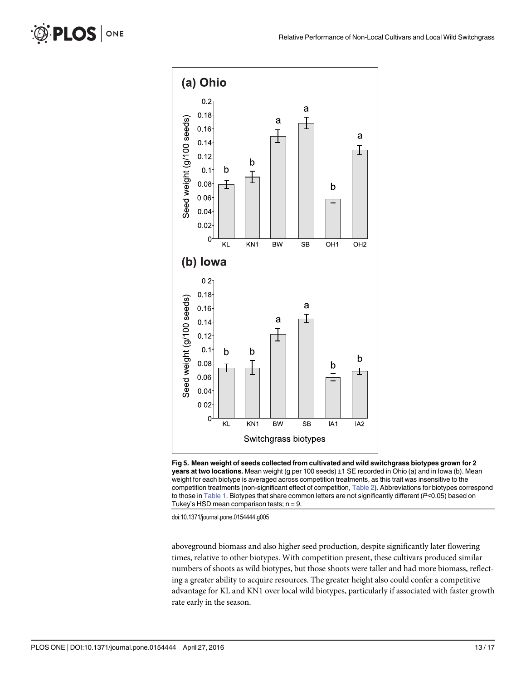<span id="page-12-0"></span>

[Fig 5. M](#page-11-0)ean weight of seeds collected from cultivated and wild switchgrass biotypes grown for 2 years at two locations. Mean weight (g per 100 seeds) ±1 SE recorded in Ohio (a) and in lowa (b). Mean weight for each biotype is averaged across competition treatments, as this trait was insensitive to the competition treatments (non-significant effect of competition, [Table 2\)](#page-7-0). Abbreviations for biotypes correspond to those in [Table 1](#page-4-0). Biotypes that share common letters are not significantly different (P<0.05) based on Tukey's HSD mean comparison tests;  $n = 9$ .

doi:10.1371/journal.pone.0154444.g005

aboveground biomass and also higher seed production, despite significantly later flowering times, relative to other biotypes. With competition present, these cultivars produced similar numbers of shoots as wild biotypes, but those shoots were taller and had more biomass, reflecting a greater ability to acquire resources. The greater height also could confer a competitive advantage for KL and KN1 over local wild biotypes, particularly if associated with faster growth rate early in the season.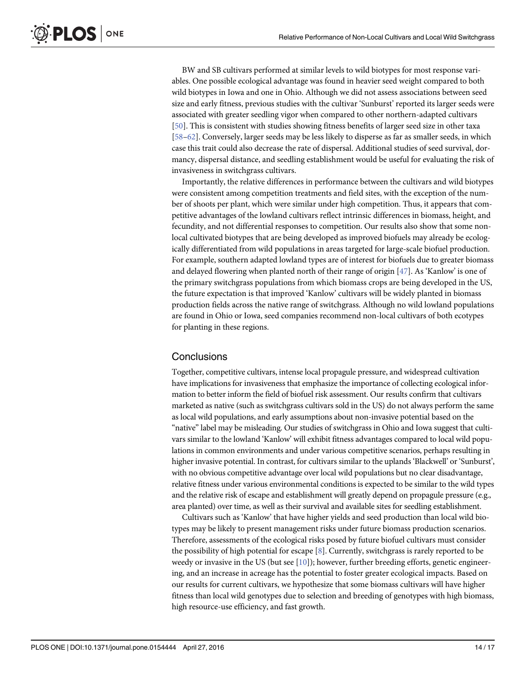<span id="page-13-0"></span>BW and SB cultivars performed at similar levels to wild biotypes for most response variables. One possible ecological advantage was found in heavier seed weight compared to both wild biotypes in Iowa and one in Ohio. Although we did not assess associations between seed size and early fitness, previous studies with the cultivar 'Sunburst' reported its larger seeds were associated with greater seedling vigor when compared to other northern-adapted cultivars [\[50](#page-16-0)]. This is consistent with studies showing fitness benefits of larger seed size in other taxa [\[58](#page-16-0)–[62\]](#page-16-0). Conversely, larger seeds may be less likely to disperse as far as smaller seeds, in which case this trait could also decrease the rate of dispersal. Additional studies of seed survival, dormancy, dispersal distance, and seedling establishment would be useful for evaluating the risk of invasiveness in switchgrass cultivars.

Importantly, the relative differences in performance between the cultivars and wild biotypes were consistent among competition treatments and field sites, with the exception of the number of shoots per plant, which were similar under high competition. Thus, it appears that competitive advantages of the lowland cultivars reflect intrinsic differences in biomass, height, and fecundity, and not differential responses to competition. Our results also show that some nonlocal cultivated biotypes that are being developed as improved biofuels may already be ecologically differentiated from wild populations in areas targeted for large-scale biofuel production. For example, southern adapted lowland types are of interest for biofuels due to greater biomass and delayed flowering when planted north of their range of origin [\[47\]](#page-16-0). As 'Kanlow' is one of the primary switchgrass populations from which biomass crops are being developed in the US, the future expectation is that improved 'Kanlow' cultivars will be widely planted in biomass production fields across the native range of switchgrass. Although no wild lowland populations are found in Ohio or Iowa, seed companies recommend non-local cultivars of both ecotypes for planting in these regions.

#### **Conclusions**

Together, competitive cultivars, intense local propagule pressure, and widespread cultivation have implications for invasiveness that emphasize the importance of collecting ecological information to better inform the field of biofuel risk assessment. Our results confirm that cultivars marketed as native (such as switchgrass cultivars sold in the US) do not always perform the same as local wild populations, and early assumptions about non-invasive potential based on the "native" label may be misleading. Our studies of switchgrass in Ohio and Iowa suggest that cultivars similar to the lowland 'Kanlow' will exhibit fitness advantages compared to local wild populations in common environments and under various competitive scenarios, perhaps resulting in higher invasive potential. In contrast, for cultivars similar to the uplands 'Blackwell' or 'Sunburst', with no obvious competitive advantage over local wild populations but no clear disadvantage, relative fitness under various environmental conditions is expected to be similar to the wild types and the relative risk of escape and establishment will greatly depend on propagule pressure (e.g., area planted) over time, as well as their survival and available sites for seedling establishment.

Cultivars such as 'Kanlow' that have higher yields and seed production than local wild biotypes may be likely to present management risks under future biomass production scenarios. Therefore, assessments of the ecological risks posed by future biofuel cultivars must consider the possibility of high potential for escape  $[8]$  $[8]$ . Currently, switchgrass is rarely reported to be weedy or invasive in the US (but see  $[10]$  $[10]$  $[10]$ ); however, further breeding efforts, genetic engineering, and an increase in acreage has the potential to foster greater ecological impacts. Based on our results for current cultivars, we hypothesize that some biomass cultivars will have higher fitness than local wild genotypes due to selection and breeding of genotypes with high biomass, high resource-use efficiency, and fast growth.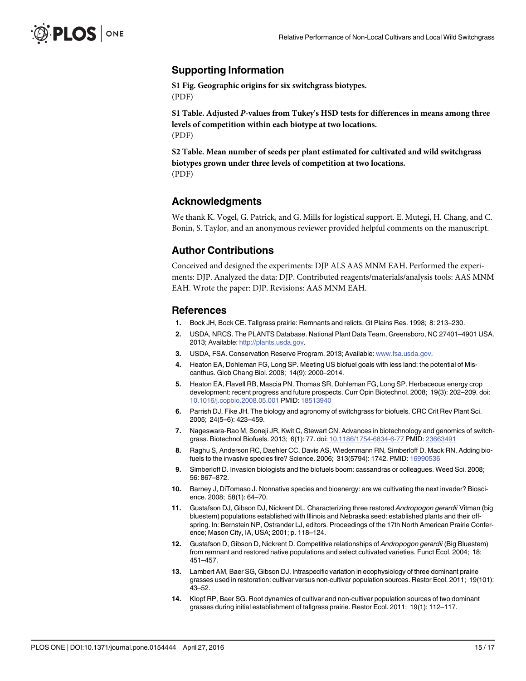#### <span id="page-14-0"></span>Supporting Information

[S1 Fig.](http://www.plosone.org/article/fetchSingleRepresentation.action?uri=info:doi/10.1371/journal.pone.0154444.s001) Geographic origins for six switchgrass biotypes. (PDF)

[S1 Table](http://www.plosone.org/article/fetchSingleRepresentation.action?uri=info:doi/10.1371/journal.pone.0154444.s002). Adjusted P-values from Tukey's HSD tests for differences in means among three levels of competition within each biotype at two locations. (PDF)

[S2 Table](http://www.plosone.org/article/fetchSingleRepresentation.action?uri=info:doi/10.1371/journal.pone.0154444.s003). Mean number of seeds per plant estimated for cultivated and wild switchgrass biotypes grown under three levels of competition at two locations. (PDF)

#### Acknowledgments

We thank K. Vogel, G. Patrick, and G. Mills for logistical support. E. Mutegi, H. Chang, and C. Bonin, S. Taylor, and an anonymous reviewer provided helpful comments on the manuscript.

#### Author Contributions

Conceived and designed the experiments: DJP ALS AAS MNM EAH. Performed the experiments: DJP. Analyzed the data: DJP. Contributed reagents/materials/analysis tools: AAS MNM EAH. Wrote the paper: DJP. Revisions: AAS MNM EAH.

#### References

- [1.](#page-1-0) Bock JH, Bock CE. Tallgrass prairie: Remnants and relicts. Gt Plains Res. 1998; 8: 213–230.
- [2.](#page-1-0) USDA, NRCS. The PLANTS Database. National Plant Data Team, Greensboro, NC 27401–4901 USA. 2013; Available: [http://plants.usda.gov.](http://plants.usda.gov)
- [3.](#page-1-0) USDA, FSA. Conservation Reserve Program. 2013; Available: [www.fsa.usda.gov.](http://www.fsa.usda.gov)
- [4.](#page-1-0) Heaton EA, Dohleman FG, Long SP. Meeting US biofuel goals with less land: the potential of Miscanthus. Glob Chang Biol. 2008; 14(9): 2000–2014.
- [5.](#page-1-0) Heaton EA, Flavell RB, Mascia PN, Thomas SR, Dohleman FG, Long SP. Herbaceous energy crop development: recent progress and future prospects. Curr Opin Biotechnol. 2008; 19(3): 202–209. doi: [10.1016/j.copbio.2008.05.001](http://dx.doi.org/10.1016/j.copbio.2008.05.001) PMID: [18513940](http://www.ncbi.nlm.nih.gov/pubmed/18513940)
- [6.](#page-1-0) Parrish DJ, Fike JH. The biology and agronomy of switchgrass for biofuels. CRC Crit Rev Plant Sci. 2005; 24(5–6): 423–459.
- [7.](#page-1-0) Nageswara-Rao M, Soneji JR, Kwit C, Stewart CN. Advances in biotechnology and genomics of switchgrass. Biotechnol Biofuels. 2013; 6(1): 77. doi: [10.1186/1754-6834-6-77](http://dx.doi.org/10.1186/1754-6834-6-77) PMID: [23663491](http://www.ncbi.nlm.nih.gov/pubmed/23663491)
- [8.](#page-1-0) Raghu S, Anderson RC, Daehler CC, Davis AS, Wiedenmann RN, Simberloff D, Mack RN. Adding biofuels to the invasive species fire? Science. 2006; 313(5794): 1742. PMID: [16990536](http://www.ncbi.nlm.nih.gov/pubmed/16990536)
- [9.](#page-1-0) Simberloff D. Invasion biologists and the biofuels boom: cassandras or colleagues. Weed Sci. 2008; 56: 867–872.
- [10.](#page-1-0) Barney J, DiTomaso J. Nonnative species and bioenergy: are we cultivating the next invader? Bioscience. 2008; 58(1): 64–70.
- [11.](#page-1-0) Gustafson DJ, Gibson DJ, Nickrent DL. Characterizing three restored Andropogon gerardii Vitman (big bluestem) populations established with Illinois and Nebraska seed: established plants and their offspring. In: Bernstein NP, Ostrander LJ, editors. Proceedings of the 17th North American Prairie Conference; Mason City, IA, USA; 2001; p. 118–124.
- [12.](#page-1-0) Gustafson D, Gibson D, Nickrent D. Competitive relationships of Andropogon gerardii (Big Bluestem) from remnant and restored native populations and select cultivated varieties. Funct Ecol. 2004; 18: 451–457.
- [13.](#page-1-0) Lambert AM, Baer SG, Gibson DJ. Intraspecific variation in ecophysiology of three dominant prairie grasses used in restoration: cultivar versus non-cultivar population sources. Restor Ecol. 2011; 19(101): 43–52.
- [14.](#page-1-0) Klopf RP, Baer SG. Root dynamics of cultivar and non-cultivar population sources of two dominant grasses during initial establishment of tallgrass prairie. Restor Ecol. 2011; 19(1): 112–117.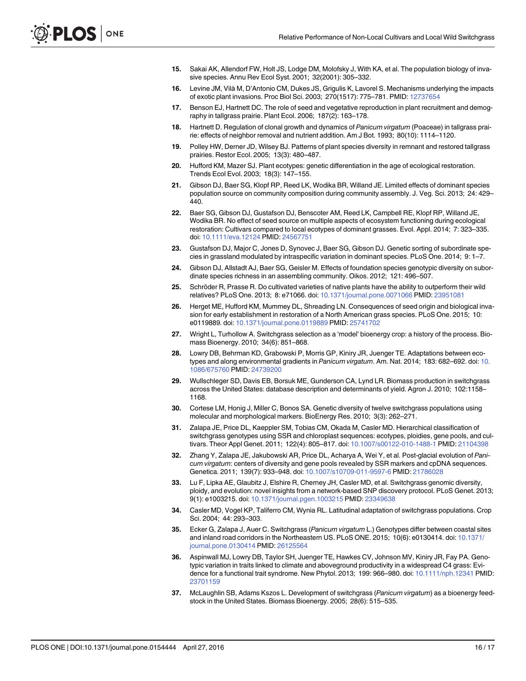- <span id="page-15-0"></span>[15.](#page-1-0) Sakai AK, Allendorf FW, Holt JS, Lodge DM, Molofsky J, With KA, et al. The population biology of invasive species. Annu Rev Ecol Syst. 2001; 32(2001): 305–332.
- [16.](#page-1-0) Levine JM, Vilà M, D'Antonio CM, Dukes JS, Grigulis K, Lavorel S. Mechanisms underlying the impacts of exotic plant invasions. Proc Biol Sci. 2003; 270(1517): 775–781. PMID: [12737654](http://www.ncbi.nlm.nih.gov/pubmed/12737654)
- [17.](#page-1-0) Benson EJ, Hartnett DC. The role of seed and vegetative reproduction in plant recruitment and demography in tallgrass prairie. Plant Ecol. 2006; 187(2): 163–178.
- 18. Hartnett D. Regulation of clonal growth and dynamics of Panicum virgatum (Poaceae) in tallgrass prairie: effects of neighbor removal and nutrient addition. Am J Bot. 1993; 80(10): 1114–1120.
- [19.](#page-2-0) Polley HW, Derner JD, Wilsey BJ. Patterns of plant species diversity in remnant and restored tallgrass prairies. Restor Ecol. 2005; 13(3): 480–487.
- [20.](#page-2-0) Hufford KM, Mazer SJ. Plant ecotypes: genetic differentiation in the age of ecological restoration. Trends Ecol Evol. 2003; 18(3): 147–155.
- [21.](#page-2-0) Gibson DJ, Baer SG, Klopf RP, Reed LK, Wodika BR, Willand JE. Limited effects of dominant species population source on community composition during community assembly. J. Veg. Sci. 2013; 24: 429– 440.
- [22.](#page-2-0) Baer SG, Gibson DJ, Gustafson DJ, Benscoter AM, Reed LK, Campbell RE, Klopf RP, Willand JE, Wodika BR. No effect of seed source on multiple aspects of ecosystem functioning during ecological restoration: Cultivars compared to local ecotypes of dominant grasses. Evol. Appl. 2014; 7: 323–335. doi: [10.1111/eva.12124](http://dx.doi.org/10.1111/eva.12124) PMID: [24567751](http://www.ncbi.nlm.nih.gov/pubmed/24567751)
- [23.](#page-2-0) Gustafson DJ, Major C, Jones D, Synovec J, Baer SG, Gibson DJ. Genetic sorting of subordinate species in grassland modulated by intraspecific variation in dominant species. PLoS One. 2014; 9: 1–7.
- [24.](#page-2-0) Gibson DJ, Allstadt AJ, Baer SG, Geisler M. Effects of foundation species genotypic diversity on subordinate species richness in an assembling community. Oikos. 2012; 121: 496–507.
- [25.](#page-2-0) Schröder R, Prasse R. Do cultivated varieties of native plants have the ability to outperform their wild relatives? PLoS One. 2013; 8: e71066. doi: [10.1371/journal.pone.0071066](http://dx.doi.org/10.1371/journal.pone.0071066) PMID: [23951081](http://www.ncbi.nlm.nih.gov/pubmed/23951081)
- [26.](#page-2-0) Herget ME, Hufford KM, Mummey DL, Shreading LN. Consequences of seed origin and biological invasion for early establishment in restoration of a North American grass species. PLoS One. 2015; 10: e0119889. doi: [10.1371/journal.pone.0119889](http://dx.doi.org/10.1371/journal.pone.0119889) PMID: [25741702](http://www.ncbi.nlm.nih.gov/pubmed/25741702)
- [27.](#page-2-0) Wright L, Turhollow A. Switchgrass selection as a 'model' bioenergy crop: a history of the process. Biomass Bioenergy. 2010; 34(6): 851–868.
- [28.](#page-2-0) Lowry DB, Behrman KD, Grabowski P, Morris GP, Kiniry JR, Juenger TE. Adaptations between ecotypes and along environmental gradients in Panicum virgatum. Am. Nat. 2014; 183: 682–692. doi: [10.](http://dx.doi.org/10.1086/675760) [1086/675760](http://dx.doi.org/10.1086/675760) PMID: [24739200](http://www.ncbi.nlm.nih.gov/pubmed/24739200)
- [29.](#page-2-0) Wullschleger SD, Davis EB, Borsuk ME, Gunderson CA, Lynd LR. Biomass production in switchgrass across the United States: database description and determinants of yield. Agron J. 2010; 102:1158– 1168.
- [30.](#page-2-0) Cortese LM, Honig J, Miller C, Bonos SA. Genetic diversity of twelve switchgrass populations using molecular and morphological markers. BioEnergy Res. 2010; 3(3): 262–271.
- 31. Zalapa JE, Price DL, Kaeppler SM, Tobias CM, Okada M, Casler MD. Hierarchical classification of switchgrass genotypes using SSR and chloroplast sequences: ecotypes, ploidies, gene pools, and cultivars. Theor Appl Genet. 2011; 122(4): 805–817. doi: [10.1007/s00122-010-1488-1](http://dx.doi.org/10.1007/s00122-010-1488-1) PMID: [21104398](http://www.ncbi.nlm.nih.gov/pubmed/21104398)
- [32.](#page-3-0) Zhang Y, Zalapa JE, Jakubowski AR, Price DL, Acharya A, Wei Y, et al. Post-glacial evolution of Panicum virgatum: centers of diversity and gene pools revealed by SSR markers and cpDNA sequences. Genetica. 2011; 139(7): 933–948. doi: [10.1007/s10709-011-9597-6](http://dx.doi.org/10.1007/s10709-011-9597-6) PMID: [21786028](http://www.ncbi.nlm.nih.gov/pubmed/21786028)
- [33.](#page-2-0) Lu F, Lipka AE, Glaubitz J, Elshire R, Cherney JH, Casler MD, et al. Switchgrass genomic diversity, ploidy, and evolution: novel insights from a network-based SNP discovery protocol. PLoS Genet. 2013; 9(1): e1003215. doi: [10.1371/journal.pgen.1003215](http://dx.doi.org/10.1371/journal.pgen.1003215) PMID: [23349638](http://www.ncbi.nlm.nih.gov/pubmed/23349638)
- [34.](#page-2-0) Casler MD, Vogel KP, Taliferro CM, Wynia RL. Latitudinal adaptation of switchgrass populations. Crop Sci. 2004; 44: 293–303.
- [35.](#page-2-0) Ecker G, Zalapa J, Auer C. Switchgrass (Panicum virgatum L.) Genotypes differ between coastal sites and inland road corridors in the Northeastern US. PLoS ONE. 2015; 10(6): e0130414. doi: [10.1371/](http://dx.doi.org/10.1371/journal.pone.0130414) [journal.pone.0130414](http://dx.doi.org/10.1371/journal.pone.0130414) PMID: [26125564](http://www.ncbi.nlm.nih.gov/pubmed/26125564)
- [36.](#page-2-0) Aspinwall MJ, Lowry DB, Taylor SH, Juenger TE, Hawkes CV, Johnson MV, Kiniry JR, Fay PA. Genotypic variation in traits linked to climate and aboveground productivity in a widespread C4 grass: Evidence for a functional trait syndrome. New Phytol. 2013; 199: 966–980. doi: [10.1111/nph.12341](http://dx.doi.org/10.1111/nph.12341) PMID: [23701159](http://www.ncbi.nlm.nih.gov/pubmed/23701159)
- [37.](#page-2-0) McLaughlin SB, Adams Kszos L. Development of switchgrass (Panicum virgatum) as a bioenergy feedstock in the United States. Biomass Bioenergy. 2005; 28(6): 515–535.